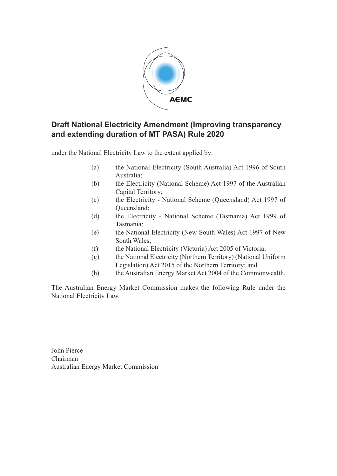

### **Draft National Electricity Amendment (Improving transparency and extending duration of MT PASA) Rule 2020**

under the National Electricity Law to the extent applied by:

- (a) the National Electricity (South Australia) Act 1996 of South Australia;
- (b) the Electricity (National Scheme) Act 1997 of the Australian Capital Territory;
- (c) the Electricity National Scheme (Queensland) Act 1997 of Queensland;
- (d) the Electricity National Scheme (Tasmania) Act 1999 of Tasmania;
- (e) the National Electricity (New South Wales) Act 1997 of New South Wales;
- (f) the National Electricity (Victoria) Act 2005 of Victoria;
- (g) the National Electricity (Northern Territory) (National Uniform Legislation) Act 2015 of the Northern Territory; and
- (h) the Australian Energy Market Act 2004 of the Commonwealth.

The Australian Energy Market Commission makes the following Rule under the National Electricity Law.

John Pierce Chairman Australian Energy Market Commission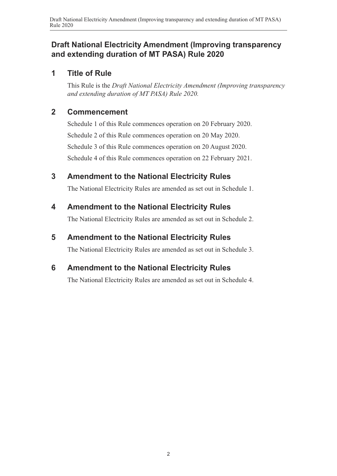### **Draft National Electricity Amendment (Improving transparency and extending duration of MT PASA) Rule 2020**

### **1 Title of Rule**

This Rule is the *Draft National Electricity Amendment (Improving transparency and extending duration of MT PASA) Rule 2020.*

### **2 Commencement**

Schedule 1 of this Rule commences operation on 20 February 2020. Schedule 2 of this Rule commences operation on 20 May 2020. Schedule 3 of this Rule commences operation on 20 August 2020. Schedule 4 of this Rule commences operation on 22 February 2021.

## **3 Amendment to the National Electricity Rules**

The National Electricity Rules are amended as set out in Schedule 1.

## **4 Amendment to the National Electricity Rules**

The National Electricity Rules are amended as set out in [Schedule 2.](#page-2-0)

# **5 Amendment to the National Electricity Rules**

The National Electricity Rules are amended as set out in [Schedule 3.](#page-3-0)

# **6 Amendment to the National Electricity Rules**

<span id="page-1-0"></span>The National Electricity Rules are amended as set out in [Schedule 4.](#page-4-0)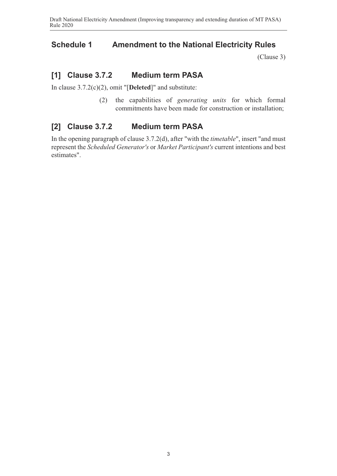#### **Schedule 1 Amendment to the National Electricity Rules**

<span id="page-2-0"></span>(Clause 3)

### **[1] Clause 3.7.2 Medium term PASA**

In clause 3.7.2(c)(2), omit "[**Deleted**]" and substitute:

(2) the capabilities of *generating units* for which formal commitments have been made for construction or installation;

### **[2] Clause 3.7.2 Medium term PASA**

In the opening paragraph of clause 3.7.2(d), after "with the *timetable*", insert "and must represent the *Scheduled Generator's* or *Market Participant's* current intentions and best estimates".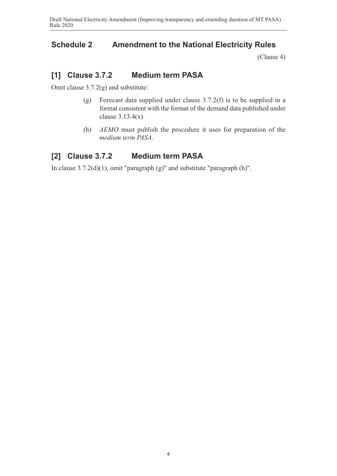#### **Schedule 2 Amendment to the National Electricity Rules**

<span id="page-3-0"></span>(Clause 4)

### **[1] Clause 3.7.2 Medium term PASA**

Omit clause 3.7.2(g) and substitute:

- (g) Forecast data supplied under clause 3.7.2(f) is to be supplied in a format consistent with the format of the demand data published under clause 3.13.4(x).
- (h) *AEMO* must publish the procedure it uses for preparation of the *medium term PASA*.

### **[2] Clause 3.7.2 Medium term PASA**

In clause 3.7.2(d)(1), omit "paragraph (g)" and substitute "paragraph (h)".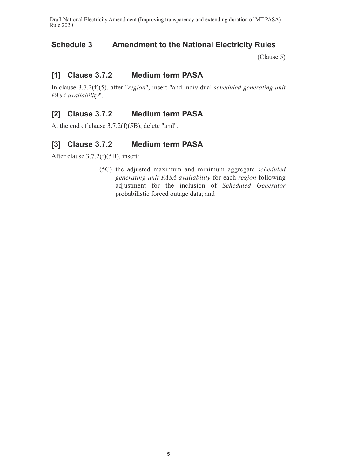#### **Schedule 3 Amendment to the National Electricity Rules**

<span id="page-4-0"></span>(Clause 5)

#### **[1] Clause 3.7.2 Medium term PASA**

In clause 3.7.2(f)(5), after "*region*", insert "and individual *scheduled gene[rating unit](#page-1-0) PASA availability*".

### **[2] Clause 3.7.2 Medium term PASA**

At the end of clause 3.7.2(f)(5B), delete "and".

#### **[3] Clause 3.7.2 Medium term PASA**

After clause 3.7.2(f)(5B), insert:

(5C) the adjusted maximum and minimum aggregate *scheduled generating unit PASA availability* for each *region* following adjustment for the inclusion of *Scheduled Generator* probabilistic forced outage data; and